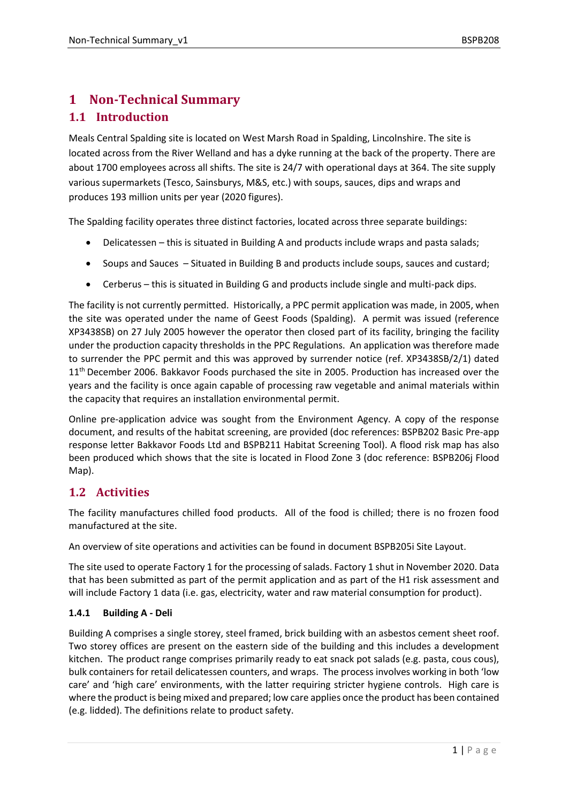# **1 Non-Technical Summary 1.1 Introduction**

Meals Central Spalding site is located on West Marsh Road in Spalding, Lincolnshire. The site is located across from the River Welland and has a dyke running at the back of the property. There are about 1700 employees across all shifts. The site is 24/7 with operational days at 364. The site supply various supermarkets (Tesco, Sainsburys, M&S, etc.) with soups, sauces, dips and wraps and produces 193 million units per year (2020 figures).

The Spalding facility operates three distinct factories, located across three separate buildings:

- Delicatessen this is situated in Building A and products include wraps and pasta salads;
- Soups and Sauces Situated in Building B and products include soups, sauces and custard;
- Cerberus this is situated in Building G and products include single and multi-pack dips.

The facility is not currently permitted. Historically, a PPC permit application was made, in 2005, when the site was operated under the name of Geest Foods (Spalding). A permit was issued (reference XP3438SB) on 27 July 2005 however the operator then closed part of its facility, bringing the facility under the production capacity thresholds in the PPC Regulations. An application was therefore made to surrender the PPC permit and this was approved by surrender notice (ref. XP3438SB/2/1) dated 11<sup>th</sup> December 2006. Bakkavor Foods purchased the site in 2005. Production has increased over the years and the facility is once again capable of processing raw vegetable and animal materials within the capacity that requires an installation environmental permit.

Online pre-application advice was sought from the Environment Agency. A copy of the response document, and results of the habitat screening, are provided (doc references: BSPB202 Basic Pre-app response letter Bakkavor Foods Ltd and BSPB211 Habitat Screening Tool). A flood risk map has also been produced which shows that the site is located in Flood Zone 3 (doc reference: BSPB206j Flood Map).

## **1.2 Activities**

The facility manufactures chilled food products. All of the food is chilled; there is no frozen food manufactured at the site.

An overview of site operations and activities can be found in document BSPB205i Site Layout.

The site used to operate Factory 1 for the processing of salads. Factory 1 shut in November 2020. Data that has been submitted as part of the permit application and as part of the H1 risk assessment and will include Factory 1 data (i.e. gas, electricity, water and raw material consumption for product).

### **1.4.1 Building A - Deli**

Building A comprises a single storey, steel framed, brick building with an asbestos cement sheet roof. Two storey offices are present on the eastern side of the building and this includes a development kitchen. The product range comprises primarily ready to eat snack pot salads (e.g. pasta, cous cous), bulk containers for retail delicatessen counters, and wraps. The process involves working in both 'low care' and 'high care' environments, with the latter requiring stricter hygiene controls. High care is where the product is being mixed and prepared; low care applies once the product has been contained (e.g. lidded). The definitions relate to product safety.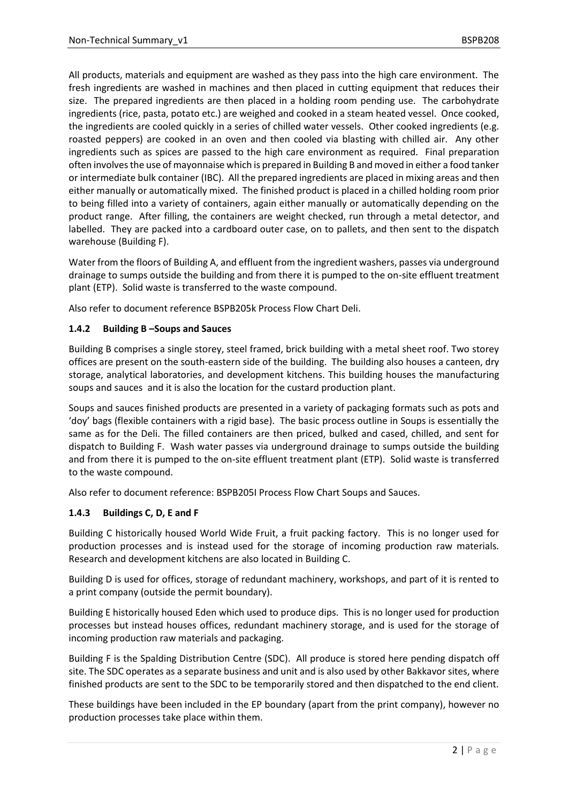All products, materials and equipment are washed as they pass into the high care environment. The fresh ingredients are washed in machines and then placed in cutting equipment that reduces their size. The prepared ingredients are then placed in a holding room pending use. The carbohydrate ingredients (rice, pasta, potato etc.) are weighed and cooked in a steam heated vessel. Once cooked, the ingredients are cooled quickly in a series of chilled water vessels. Other cooked ingredients (e.g. roasted peppers) are cooked in an oven and then cooled via blasting with chilled air. Any other ingredients such as spices are passed to the high care environment as required. Final preparation often involves the use of mayonnaise which is prepared in Building B and moved in either a food tanker or intermediate bulk container (IBC). All the prepared ingredients are placed in mixing areas and then either manually or automatically mixed. The finished product is placed in a chilled holding room prior to being filled into a variety of containers, again either manually or automatically depending on the product range. After filling, the containers are weight checked, run through a metal detector, and labelled. They are packed into a cardboard outer case, on to pallets, and then sent to the dispatch warehouse (Building F).

Water from the floors of Building A, and effluent from the ingredient washers, passes via underground drainage to sumps outside the building and from there it is pumped to the on-site effluent treatment plant (ETP). Solid waste is transferred to the waste compound.

Also refer to document reference BSPB205k Process Flow Chart Deli.

### **1.4.2 Building B –Soups and Sauces**

Building B comprises a single storey, steel framed, brick building with a metal sheet roof. Two storey offices are present on the south-eastern side of the building. The building also houses a canteen, dry storage, analytical laboratories, and development kitchens. This building houses the manufacturing soups and sauces and it is also the location for the custard production plant.

Soups and sauces finished products are presented in a variety of packaging formats such as pots and 'doy' bags (flexible containers with a rigid base). The basic process outline in Soups is essentially the same as for the Deli. The filled containers are then priced, bulked and cased, chilled, and sent for dispatch to Building F. Wash water passes via underground drainage to sumps outside the building and from there it is pumped to the on-site effluent treatment plant (ETP). Solid waste is transferred to the waste compound.

Also refer to document reference: BSPB205I Process Flow Chart Soups and Sauces.

### **1.4.3 Buildings C, D, E and F**

Building C historically housed World Wide Fruit, a fruit packing factory. This is no longer used for production processes and is instead used for the storage of incoming production raw materials. Research and development kitchens are also located in Building C.

Building D is used for offices, storage of redundant machinery, workshops, and part of it is rented to a print company (outside the permit boundary).

Building E historically housed Eden which used to produce dips. This is no longer used for production processes but instead houses offices, redundant machinery storage, and is used for the storage of incoming production raw materials and packaging.

Building F is the Spalding Distribution Centre (SDC). All produce is stored here pending dispatch off site. The SDC operates as a separate business and unit and is also used by other Bakkavor sites, where finished products are sent to the SDC to be temporarily stored and then dispatched to the end client.

These buildings have been included in the EP boundary (apart from the print company), however no production processes take place within them.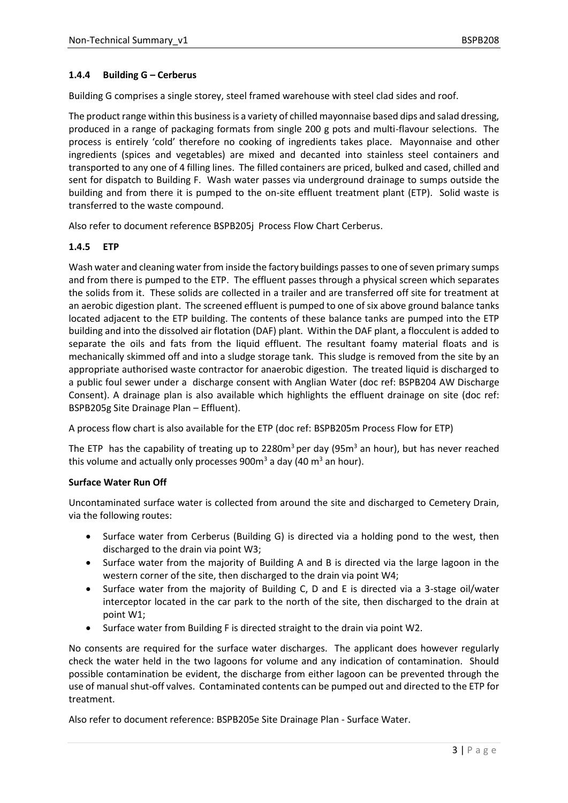### **1.4.4 Building G – Cerberus**

Building G comprises a single storey, steel framed warehouse with steel clad sides and roof.

The product range within this business is a variety of chilled mayonnaise based dips and salad dressing, produced in a range of packaging formats from single 200 g pots and multi-flavour selections. The process is entirely 'cold' therefore no cooking of ingredients takes place. Mayonnaise and other ingredients (spices and vegetables) are mixed and decanted into stainless steel containers and transported to any one of 4 filling lines. The filled containers are priced, bulked and cased, chilled and sent for dispatch to Building F. Wash water passes via underground drainage to sumps outside the building and from there it is pumped to the on-site effluent treatment plant (ETP). Solid waste is transferred to the waste compound.

Also refer to document reference BSPB205j Process Flow Chart Cerberus.

### **1.4.5 ETP**

Wash water and cleaning water from inside the factory buildings passes to one of seven primary sumps and from there is pumped to the ETP. The effluent passes through a physical screen which separates the solids from it. These solids are collected in a trailer and are transferred off site for treatment at an aerobic digestion plant. The screened effluent is pumped to one of six above ground balance tanks located adjacent to the ETP building. The contents of these balance tanks are pumped into the ETP building and into the dissolved air flotation (DAF) plant. Within the DAF plant, a flocculent is added to separate the oils and fats from the liquid effluent. The resultant foamy material floats and is mechanically skimmed off and into a sludge storage tank. This sludge is removed from the site by an appropriate authorised waste contractor for anaerobic digestion. The treated liquid is discharged to a public foul sewer under a discharge consent with Anglian Water (doc ref: BSPB204 AW Discharge Consent). A drainage plan is also available which highlights the effluent drainage on site (doc ref: BSPB205g Site Drainage Plan – Effluent).

A process flow chart is also available for the ETP (doc ref: BSPB205m Process Flow for ETP)

The ETP has the capability of treating up to 2280 $m<sup>3</sup>$  per day (95 $m<sup>3</sup>$  an hour), but has never reached this volume and actually only processes  $900m<sup>3</sup>$  a day (40 m<sup>3</sup> an hour).

### **Surface Water Run Off**

Uncontaminated surface water is collected from around the site and discharged to Cemetery Drain, via the following routes:

- Surface water from Cerberus (Building G) is directed via a holding pond to the west, then discharged to the drain via point W3;
- Surface water from the majority of Building A and B is directed via the large lagoon in the western corner of the site, then discharged to the drain via point W4;
- Surface water from the majority of Building C, D and E is directed via a 3-stage oil/water interceptor located in the car park to the north of the site, then discharged to the drain at point W1;
- Surface water from Building F is directed straight to the drain via point W2.

No consents are required for the surface water discharges. The applicant does however regularly check the water held in the two lagoons for volume and any indication of contamination. Should possible contamination be evident, the discharge from either lagoon can be prevented through the use of manual shut-off valves. Contaminated contents can be pumped out and directed to the ETP for treatment.

Also refer to document reference: BSPB205e Site Drainage Plan - Surface Water.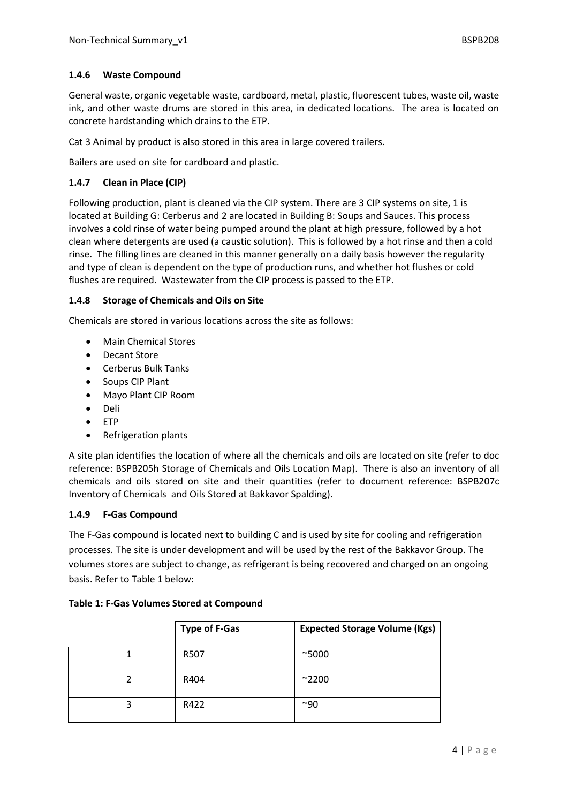### **1.4.6 Waste Compound**

General waste, organic vegetable waste, cardboard, metal, plastic, fluorescent tubes, waste oil, waste ink, and other waste drums are stored in this area, in dedicated locations. The area is located on concrete hardstanding which drains to the ETP.

Cat 3 Animal by product is also stored in this area in large covered trailers.

Bailers are used on site for cardboard and plastic.

### **1.4.7 Clean in Place (CIP)**

Following production, plant is cleaned via the CIP system. There are 3 CIP systems on site, 1 is located at Building G: Cerberus and 2 are located in Building B: Soups and Sauces. This process involves a cold rinse of water being pumped around the plant at high pressure, followed by a hot clean where detergents are used (a caustic solution). This is followed by a hot rinse and then a cold rinse. The filling lines are cleaned in this manner generally on a daily basis however the regularity and type of clean is dependent on the type of production runs, and whether hot flushes or cold flushes are required. Wastewater from the CIP process is passed to the ETP.

### **1.4.8 Storage of Chemicals and Oils on Site**

Chemicals are stored in various locations across the site as follows:

- Main Chemical Stores
- Decant Store
- Cerberus Bulk Tanks
- Soups CIP Plant
- Mayo Plant CIP Room
- Deli
- ETP
- Refrigeration plants

A site plan identifies the location of where all the chemicals and oils are located on site (refer to doc reference: BSPB205h Storage of Chemicals and Oils Location Map). There is also an inventory of all chemicals and oils stored on site and their quantities (refer to document reference: BSPB207c Inventory of Chemicals and Oils Stored at Bakkavor Spalding).

### **1.4.9 F-Gas Compound**

The F-Gas compound is located next to building C and is used by site for cooling and refrigeration processes. The site is under development and will be used by the rest of the Bakkavor Group. The volumes stores are subject to change, as refrigerant is being recovered and charged on an ongoing basis. Refer to Table 1 below:

| <b>Type of F-Gas</b> | <b>Expected Storage Volume (Kgs)</b> |
|----------------------|--------------------------------------|
| R507                 | $^{\sim}5000$                        |
| R404                 | $^{\sim}$ 2200                       |
| R422                 | $^{\sim}$ 90                         |

### **Table 1: F-Gas Volumes Stored at Compound**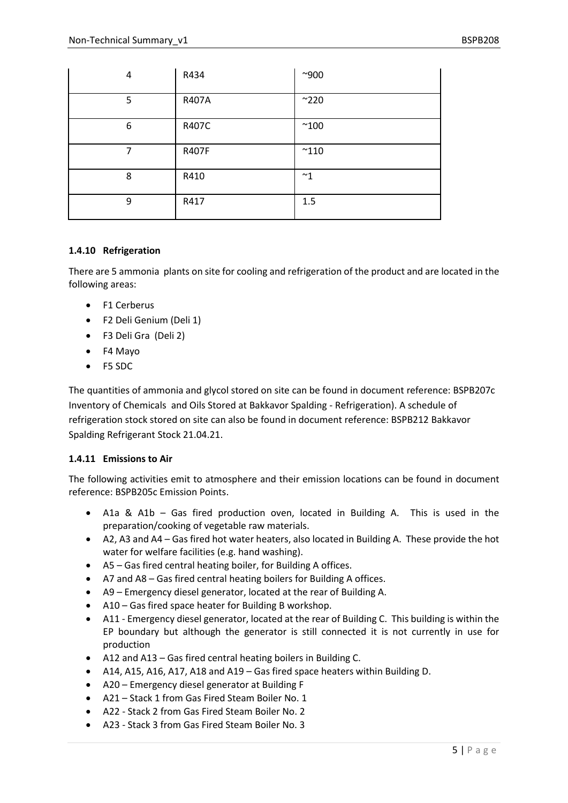| 4 | R434  | $^{\sim}900$  |
|---|-------|---------------|
| 5 | R407A | $^{\sim}$ 220 |
| 6 | R407C | $^{\sim}100$  |
| 7 | R407F | $^{\sim}110$  |
| 8 | R410  | $~^{\sim}1$   |
| 9 | R417  | 1.5           |

### **1.4.10 Refrigeration**

There are 5 ammonia plants on site for cooling and refrigeration of the product and are located in the following areas:

- F1 Cerberus
- F2 Deli Genium (Deli 1)
- F3 Deli Gra (Deli 2)
- F4 Mayo
- F5 SDC

The quantities of ammonia and glycol stored on site can be found in document reference: BSPB207c Inventory of Chemicals and Oils Stored at Bakkavor Spalding - Refrigeration). A schedule of refrigeration stock stored on site can also be found in document reference: BSPB212 Bakkavor Spalding Refrigerant Stock 21.04.21.

### **1.4.11 Emissions to Air**

The following activities emit to atmosphere and their emission locations can be found in document reference: BSPB205c Emission Points.

- A1a & A1b Gas fired production oven, located in Building A. This is used in the preparation/cooking of vegetable raw materials.
- A2, A3 and A4 Gas fired hot water heaters, also located in Building A. These provide the hot water for welfare facilities (e.g. hand washing).
- A5 Gas fired central heating boiler, for Building A offices.
- A7 and A8 Gas fired central heating boilers for Building A offices.
- A9 Emergency diesel generator, located at the rear of Building A.
- A10 Gas fired space heater for Building B workshop.
- A11 Emergency diesel generator, located at the rear of Building C. This building is within the EP boundary but although the generator is still connected it is not currently in use for production
- A12 and A13 Gas fired central heating boilers in Building C.
- A14, A15, A16, A17, A18 and A19 Gas fired space heaters within Building D.
- A20 Emergency diesel generator at Building F
- A21 Stack 1 from Gas Fired Steam Boiler No. 1
- A22 Stack 2 from Gas Fired Steam Boiler No. 2
- A23 Stack 3 from Gas Fired Steam Boiler No. 3